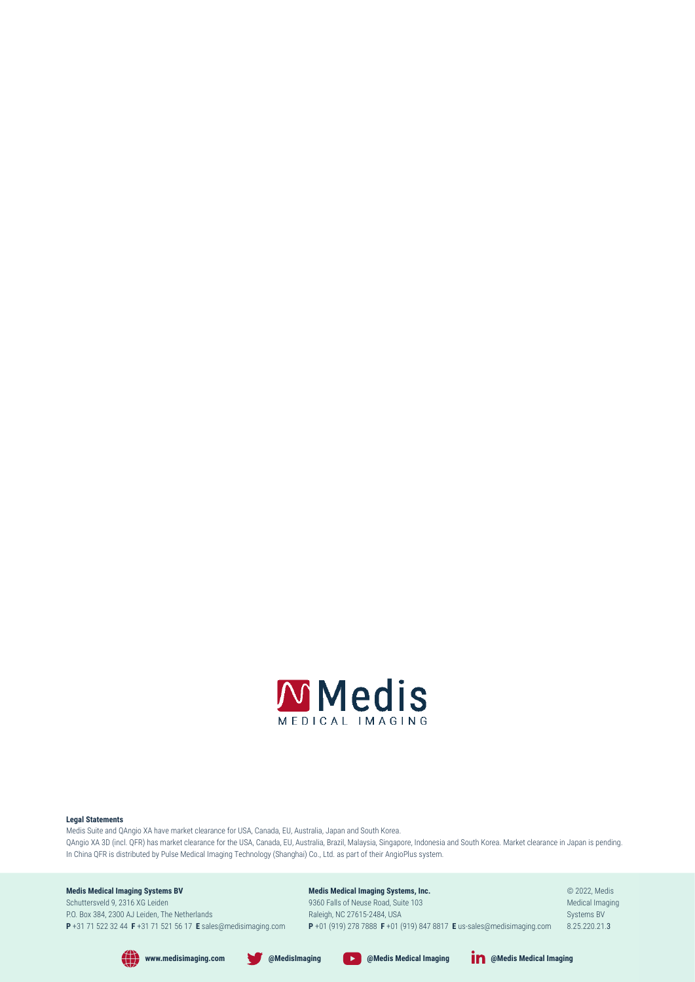

#### **Legal Statements**

Medis Suite and QAngio XA have market clearance for USA, Canada, EU, Australia, Japan and South Korea. QAngio XA 3D (incl. QFR) has market clearance for the USA, Canada, EU, Australia, Brazil, Malaysia, Singapore, Indonesia and South Korea. Market clearance in Japan is pending. In China QFR is distributed by Pulse Medical Imaging Technology (Shanghai) Co., Ltd. as part of their AngioPlus system.

**www.medisimaging.com @MedisImaging @Medis Medical Imaging @Medis Medical Imaging**

#### **Medis Medical Imaging Systems BV**

Schuttersveld 9, 2316 XG Leiden P.O. Box 384, 2300 AJ Leiden, The Netherlands **P** +31 71 522 32 44 **F** +31 71 521 56 17 **E** sales@medisimaging.com **Medis Medical Imaging Systems, Inc.** 9360 Falls of Neuse Road, Suite 103 Raleigh, NC 27615-2484, USA

© 2022, Medis Medical Imaging Systems BV 8.25.220.21.3

**P** +01 (919) 278 7888 **F** +01 (919) 847 8817 **E** us-sales@medisimaging.com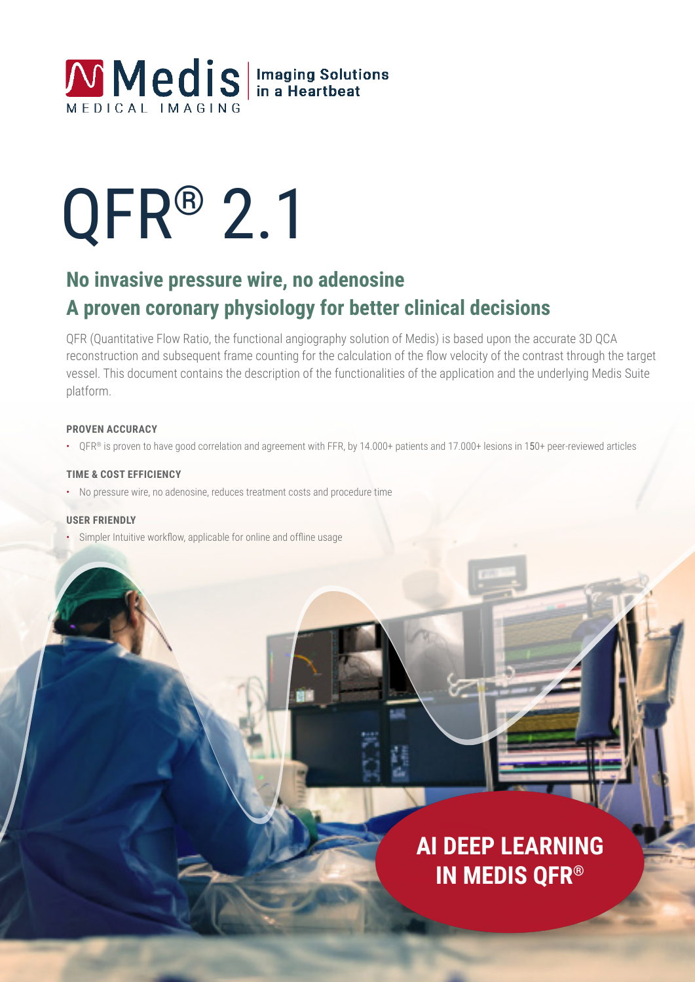

# QFR® 2.1

### **No invasive pressure wire, no adenosine A proven coronary physiology for better clinical decisions**

QFR (Quantitative Flow Ratio, the functional angiography solution of Medis) is based upon the accurate 3D QCA reconstruction and subsequent frame counting for the calculation of the flow velocity of the contrast through the target vessel. This document contains the description of the functionalities of the application and the underlying Medis Suite platform.

#### **PROVEN ACCURACY**

• QFR® is proven to have good correlation and agreement with FFR, by 14.000+ patients and 17.000+ lesions in 150+ peer-reviewed articles

#### **TIME & COST EFFICIENCY**

• No pressure wire, no adenosine, reduces treatment costs and procedure time

#### **USER FRIENDLY**

• Simpler Intuitive workflow, applicable for online and offline usage

## **AI DEEP LEARNING IN MEDIS QFR®**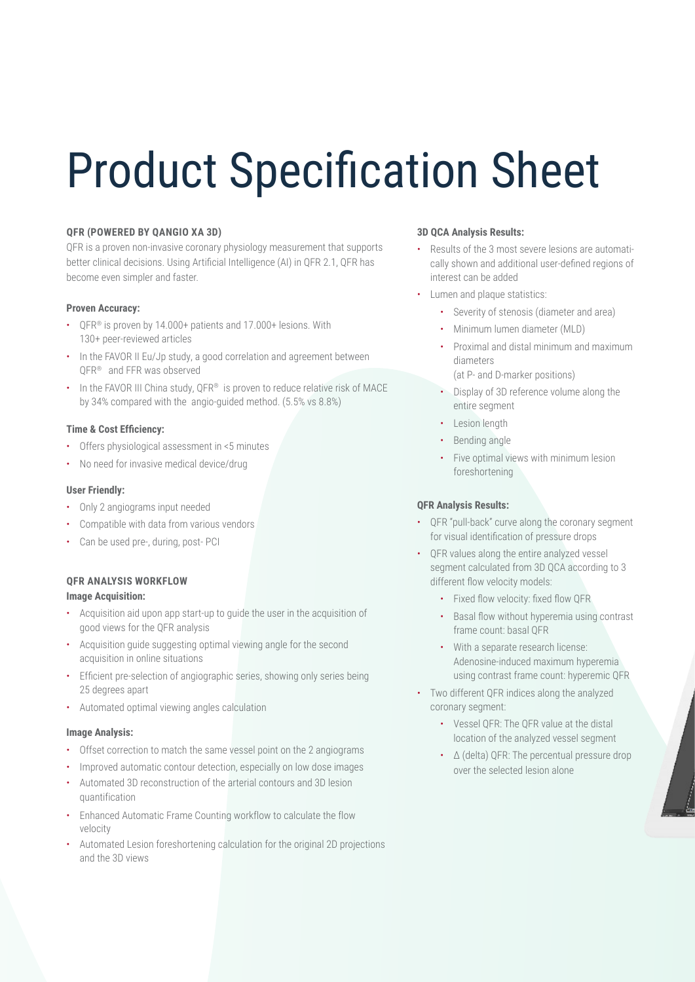## Product Specification Sheet

#### **QFR (POWERED BY QANGIO XA 3D)**

QFR is a proven non-invasive coronary physiology measurement that supports better clinical decisions. Using Artificial Intelligence (AI) in QFR 2.1, QFR has become even simpler and faster.

#### **Proven Accuracy:**

- QFR® is proven by 14.000+ patients and 17.000+ lesions. With 130+ peer-reviewed articles
- In the FAVOR II Eu/Jp study, a good correlation and agreement between QFR® and FFR was observed
- In the FAVOR III China study, QFR® is proven to reduce relative risk of MACE by 34% compared with the angio-guided method. (5.5% vs 8.8%)

#### **Time & Cost Efficiency:**

- Offers physiological assessment in <5 minutes
- No need for invasive medical device/drug

#### **User Friendly:**

- Only 2 angiograms input needed
- Compatible with data from various vendors
- Can be used pre-, during, post- PCI

#### **QFR ANALYSIS WORKFLOW**

#### **Image Acquisition:**

- Acquisition aid upon app start-up to guide the user in the acquisition of good views for the QFR analysis
- Acquisition guide suggesting optimal viewing angle for the second acquisition in online situations
- Efficient pre-selection of angiographic series, showing only series being 25 degrees apart
- Automated optimal viewing angles calculation

#### **Image Analysis:**

- Offset correction to match the same vessel point on the 2 angiograms
- Improved automatic contour detection, especially on low dose images
- Automated 3D reconstruction of the arterial contours and 3D lesion quantification
- Enhanced Automatic Frame Counting workflow to calculate the flow velocity
- Automated Lesion foreshortening calculation for the original 2D projections and the 3D views

#### **3D QCA Analysis Results:**

- Results of the 3 most severe lesions are automatically shown and additional user-defined regions of interest can be added
- Lumen and plaque statistics:
	- Severity of stenosis (diameter and area)
	- Minimum lumen diameter (MLD)
	- Proximal and distal minimum and maximum diameters (at P- and D-marker positions)
	- Display of 3D reference volume along the entire segment
	- Lesion length
	- Bending angle
	- Five optimal views with minimum lesion foreshortening

#### **QFR Analysis Results:**

- QFR "pull-back" curve along the coronary segment for visual identification of pressure drops
- QFR values along the entire analyzed vessel segment calculated from 3D QCA according to 3 different flow velocity models:
	- Fixed flow velocity: fixed flow QFR
	- Basal flow without hyperemia using contrast frame count: basal QFR
	- With a separate research license: Adenosine-induced maximum hyperemia using contrast frame count: hyperemic QFR
- Two different QFR indices along the analyzed coronary segment:
	- Vessel QFR: The QFR value at the distal location of the analyzed vessel segment
	- Δ (delta) QFR: The percentual pressure drop over the selected lesion alone